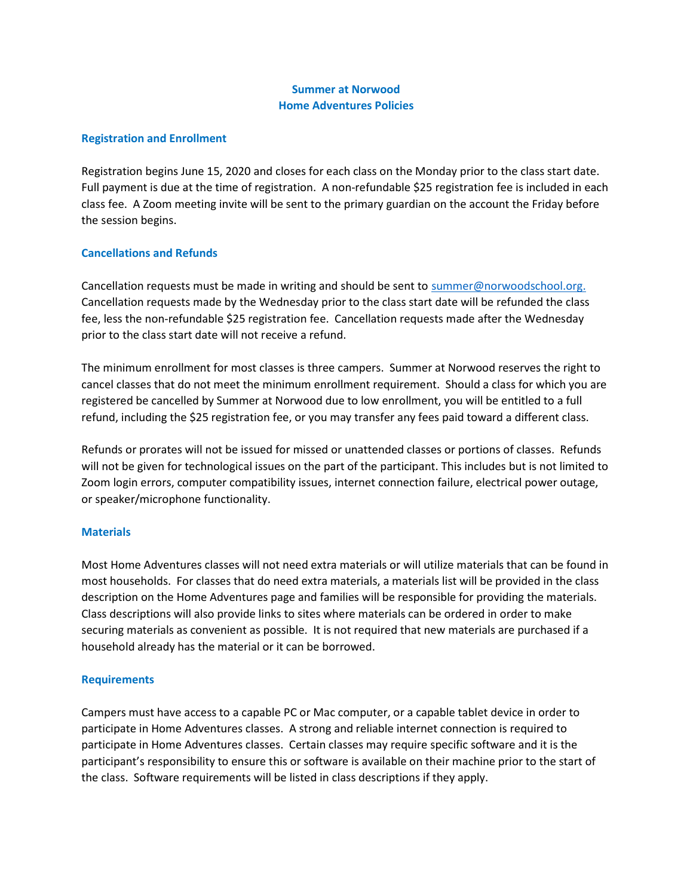# Summer at Norwood Home Adventures Policies

#### Registration and Enrollment

Registration begins June 15, 2020 and closes for each class on the Monday prior to the class start date. Full payment is due at the time of registration. A non-refundable \$25 registration fee is included in each class fee. A Zoom meeting invite will be sent to the primary guardian on the account the Friday before the session begins.

## Cancellations and Refunds

Cancellation requests must be made in writing and should be sent to summer@norwoodschool.org. Cancellation requests made by the Wednesday prior to the class start date will be refunded the class fee, less the non-refundable \$25 registration fee. Cancellation requests made after the Wednesday prior to the class start date will not receive a refund.

The minimum enrollment for most classes is three campers. Summer at Norwood reserves the right to cancel classes that do not meet the minimum enrollment requirement. Should a class for which you are registered be cancelled by Summer at Norwood due to low enrollment, you will be entitled to a full refund, including the \$25 registration fee, or you may transfer any fees paid toward a different class.

Refunds or prorates will not be issued for missed or unattended classes or portions of classes. Refunds will not be given for technological issues on the part of the participant. This includes but is not limited to Zoom login errors, computer compatibility issues, internet connection failure, electrical power outage, or speaker/microphone functionality.

#### **Materials**

Most Home Adventures classes will not need extra materials or will utilize materials that can be found in most households. For classes that do need extra materials, a materials list will be provided in the class description on the Home Adventures page and families will be responsible for providing the materials. Class descriptions will also provide links to sites where materials can be ordered in order to make securing materials as convenient as possible. It is not required that new materials are purchased if a household already has the material or it can be borrowed.

#### **Requirements**

Campers must have access to a capable PC or Mac computer, or a capable tablet device in order to participate in Home Adventures classes. A strong and reliable internet connection is required to participate in Home Adventures classes. Certain classes may require specific software and it is the participant's responsibility to ensure this or software is available on their machine prior to the start of the class. Software requirements will be listed in class descriptions if they apply.